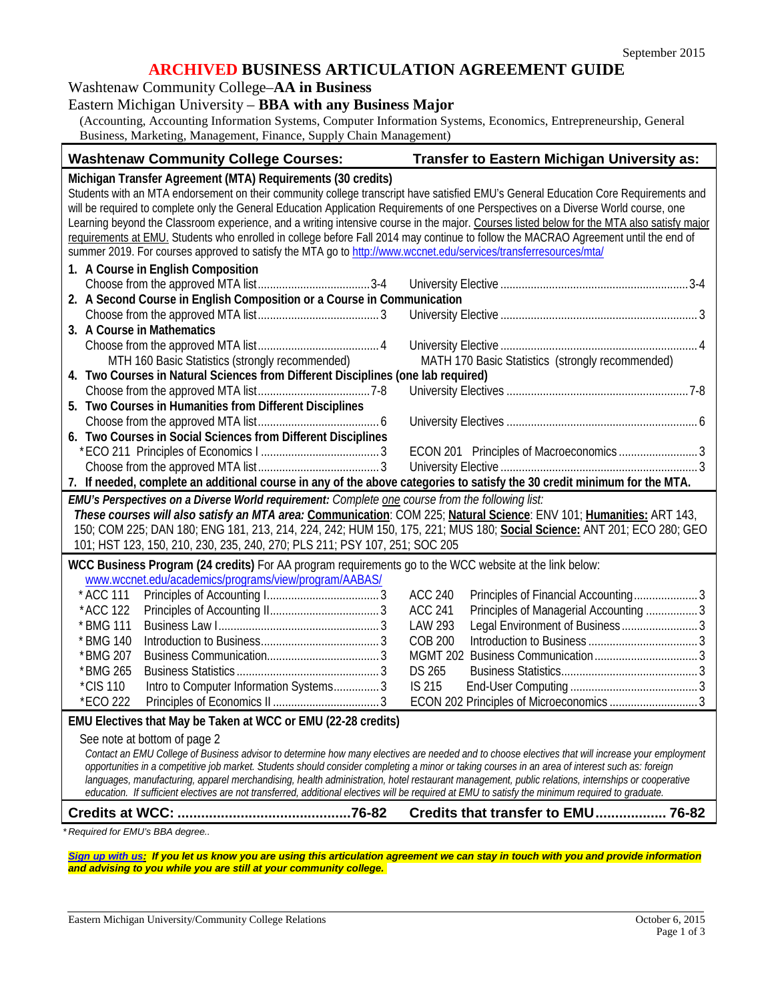## **ARCHIVED BUSINESS ARTICULATION AGREEMENT GUIDE**

Washtenaw Community College–**AA in Business**

## Eastern Michigan University – **BBA with any Business Major**

(Accounting, Accounting Information Systems, Computer Information Systems, Economics, Entrepreneurship, General Business, Marketing, Management, Finance, Supply Chain Management)

| <b>Washtenaw Community College Courses:</b>                                                                                                                                                                                                                                                                                                                                                                                                                                                                                                                                                                                                    | Transfer to Eastern Michigan University as:                                                                       |  |
|------------------------------------------------------------------------------------------------------------------------------------------------------------------------------------------------------------------------------------------------------------------------------------------------------------------------------------------------------------------------------------------------------------------------------------------------------------------------------------------------------------------------------------------------------------------------------------------------------------------------------------------------|-------------------------------------------------------------------------------------------------------------------|--|
| Michigan Transfer Agreement (MTA) Requirements (30 credits)<br>Students with an MTA endorsement on their community college transcript have satisfied EMU's General Education Core Requirements and<br>will be required to complete only the General Education Application Requirements of one Perspectives on a Diverse World course, one<br>Learning beyond the Classroom experience, and a writing intensive course in the major. Courses listed below for the MTA also satisfy major                                                                                                                                                        |                                                                                                                   |  |
| requirements at EMU. Students who enrolled in college before Fall 2014 may continue to follow the MACRAO Agreement until the end of<br>summer 2019. For courses approved to satisfy the MTA go to http://www.wccnet.edu/services/transferresources/mta/                                                                                                                                                                                                                                                                                                                                                                                        |                                                                                                                   |  |
| 1. A Course in English Composition<br>2. A Second Course in English Composition or a Course in Communication                                                                                                                                                                                                                                                                                                                                                                                                                                                                                                                                   |                                                                                                                   |  |
| 3. A Course in Mathematics                                                                                                                                                                                                                                                                                                                                                                                                                                                                                                                                                                                                                     |                                                                                                                   |  |
| MTH 160 Basic Statistics (strongly recommended)                                                                                                                                                                                                                                                                                                                                                                                                                                                                                                                                                                                                | MATH 170 Basic Statistics (strongly recommended)                                                                  |  |
| 4. Two Courses in Natural Sciences from Different Disciplines (one lab required)<br>5. Two Courses in Humanities from Different Disciplines                                                                                                                                                                                                                                                                                                                                                                                                                                                                                                    |                                                                                                                   |  |
| 6. Two Courses in Social Sciences from Different Disciplines                                                                                                                                                                                                                                                                                                                                                                                                                                                                                                                                                                                   |                                                                                                                   |  |
| 7. If needed, complete an additional course in any of the above categories to satisfy the 30 credit minimum for the MTA.                                                                                                                                                                                                                                                                                                                                                                                                                                                                                                                       |                                                                                                                   |  |
| EMU's Perspectives on a Diverse World requirement: Complete one course from the following list:<br>These courses will also satisfy an MTA area: Communication: COM 225; Natural Science: ENV 101; Humanities: ART 143,<br>150; COM 225; DAN 180; ENG 181, 213, 214, 224, 242; HUM 150, 175, 221; MUS 180; Social Science: ANT 201; ECO 280; GEO<br>101; HST 123, 150, 210, 230, 235, 240, 270; PLS 211; PSY 107, 251; SOC 205                                                                                                                                                                                                                  |                                                                                                                   |  |
| WCC Business Program (24 credits) For AA program requirements go to the WCC website at the link below:<br>www.wccnet.edu/academics/programs/view/program/AABAS/                                                                                                                                                                                                                                                                                                                                                                                                                                                                                |                                                                                                                   |  |
| * ACC 111<br>*ACC 122                                                                                                                                                                                                                                                                                                                                                                                                                                                                                                                                                                                                                          | <b>ACC 240</b><br>Principles of Financial Accounting3<br><b>ACC 241</b><br>Principles of Managerial Accounting  3 |  |
| * BMG 111<br>* BMG 140<br>*BMG 207                                                                                                                                                                                                                                                                                                                                                                                                                                                                                                                                                                                                             | LAW 293<br><b>COB 200</b>                                                                                         |  |
| *BMG 265<br><i>*CIS</i> 110<br>Intro to Computer Information Systems 3<br>*ECO 222                                                                                                                                                                                                                                                                                                                                                                                                                                                                                                                                                             | <b>DS 265</b><br>IS 215<br>ECON 202 Principles of Microeconomics  3                                               |  |
| EMU Electives that May be Taken at WCC or EMU (22-28 credits)                                                                                                                                                                                                                                                                                                                                                                                                                                                                                                                                                                                  |                                                                                                                   |  |
| See note at bottom of page 2<br>Contact an EMU College of Business advisor to determine how many electives are needed and to choose electives that will increase your employment<br>opportunities in a competitive job market. Students should consider completing a minor or taking courses in an area of interest such as: foreign<br>languages, manufacturing, apparel merchandising, health administration, hotel restaurant management, public relations, internships or cooperative<br>education. If sufficient electives are not transferred, additional electives will be required at EMU to satisfy the minimum required to graduate. |                                                                                                                   |  |
|                                                                                                                                                                                                                                                                                                                                                                                                                                                                                                                                                                                                                                                | Credits that transfer to EMU 76-82                                                                                |  |
| *Required for EMU's BBA degree                                                                                                                                                                                                                                                                                                                                                                                                                                                                                                                                                                                                                 |                                                                                                                   |  |

*[Sign up with us:](https://www.emich.edu/ccr/articulation-agreements/signup.php) If you let us know you are using this articulation agreement we can stay in touch with you and provide information and advising to you while you are still at your community college.*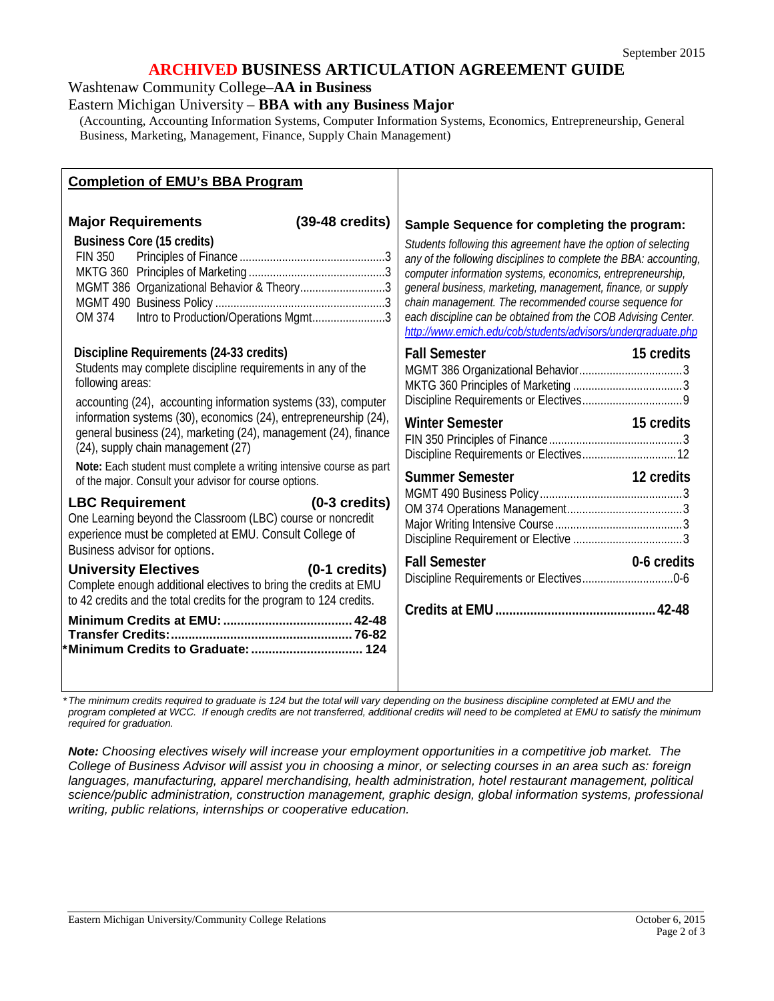# **ARCHIVED BUSINESS ARTICULATION AGREEMENT GUIDE**

Washtenaw Community College–**AA in Business**

Eastern Michigan University – **BBA with any Business Major**

(Accounting, Accounting Information Systems, Computer Information Systems, Economics, Entrepreneurship, General Business, Marketing, Management, Finance, Supply Chain Management)

| <b>Completion of EMU's BBA Program</b>                                                                                                                                                                                                                                                                                                                                                                                                                                                                                                                                                                                                                                                                                                                                                                                                                                                                                                                         |                                                                                                                                                                                                                                                                                                                                                                                                                                                                                                           |
|----------------------------------------------------------------------------------------------------------------------------------------------------------------------------------------------------------------------------------------------------------------------------------------------------------------------------------------------------------------------------------------------------------------------------------------------------------------------------------------------------------------------------------------------------------------------------------------------------------------------------------------------------------------------------------------------------------------------------------------------------------------------------------------------------------------------------------------------------------------------------------------------------------------------------------------------------------------|-----------------------------------------------------------------------------------------------------------------------------------------------------------------------------------------------------------------------------------------------------------------------------------------------------------------------------------------------------------------------------------------------------------------------------------------------------------------------------------------------------------|
| <b>Major Requirements</b><br>$(39-48 \text{ credits})$<br><b>Business Core (15 credits)</b><br><b>FIN 350</b><br>MGMT 386 Organizational Behavior & Theory3<br>Intro to Production/Operations Mgmt3<br>OM 374                                                                                                                                                                                                                                                                                                                                                                                                                                                                                                                                                                                                                                                                                                                                                  | Sample Sequence for completing the program:<br>Students following this agreement have the option of selecting<br>any of the following disciplines to complete the BBA: accounting,<br>computer information systems, economics, entrepreneurship,<br>general business, marketing, management, finance, or supply<br>chain management. The recommended course sequence for<br>each discipline can be obtained from the COB Advising Center.<br>http://www.emich.edu/cob/students/advisors/undergraduate.php |
| Discipline Requirements (24-33 credits)<br>Students may complete discipline requirements in any of the<br>following areas:<br>accounting (24), accounting information systems (33), computer<br>information systems (30), economics (24), entrepreneurship (24),<br>general business (24), marketing (24), management (24), finance<br>(24), supply chain management (27)<br>Note: Each student must complete a writing intensive course as part<br>of the major. Consult your advisor for course options.<br><b>LBC Requirement</b><br>$(0-3 \text{ credits})$<br>One Learning beyond the Classroom (LBC) course or noncredit<br>experience must be completed at EMU. Consult College of<br>Business advisor for options.<br>$(0-1)$ credits)<br><b>University Electives</b><br>Complete enough additional electives to bring the credits at EMU<br>to 42 credits and the total credits for the program to 124 credits.<br>*Minimum Credits to Graduate:  124 | <b>Fall Semester</b><br>15 credits<br><b>Winter Semester</b><br>15 credits<br>Summer Semester <b>Summer Semester</b><br>12 credits<br><b>Fall Semester</b><br>0-6 credits                                                                                                                                                                                                                                                                                                                                 |

*\*The minimum credits required to graduate is 124 but the total will vary depending on the business discipline completed at EMU and the*  program completed at WCC. If enough credits are not transferred, additional credits will need to be completed at EMU to satisfy the minimum *required for graduation.*

*Note: Choosing electives wisely will increase your employment opportunities in a competitive job market. The College of Business Advisor will assist you in choosing a minor, or selecting courses in an area such as: foreign languages, manufacturing, apparel merchandising, health administration, hotel restaurant management, political science/public administration, construction management, graphic design, global information systems, professional writing, public relations, internships or cooperative education.*